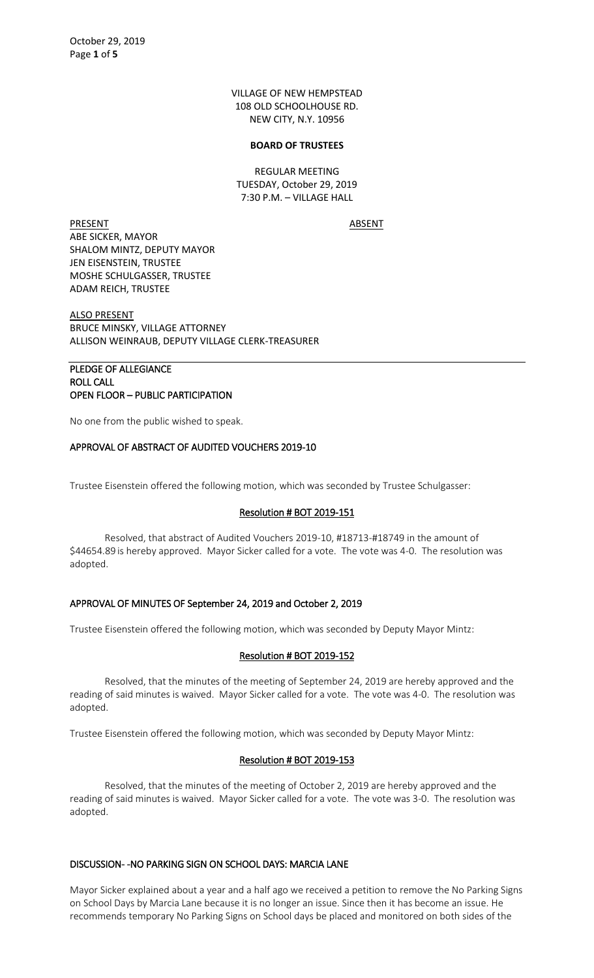VILLAGE OF NEW HEMPSTEAD 108 OLD SCHOOLHOUSE RD. NEW CITY, N.Y. 10956

#### **BOARD OF TRUSTEES**

REGULAR MEETING TUESDAY, October 29, 2019 7:30 P.M. – VILLAGE HALL

PRESENT ABSENT ABE SICKER, MAYOR SHALOM MINTZ, DEPUTY MAYOR JEN EISENSTEIN, TRUSTEE MOSHE SCHULGASSER, TRUSTEE ADAM REICH, TRUSTEE

ALSO PRESENT BRUCE MINSKY, VILLAGE ATTORNEY ALLISON WEINRAUB, DEPUTY VILLAGE CLERK-TREASURER

## PLEDGE OF ALLEGIANCE ROLL CALL OPEN FLOOR – PUBLIC PARTICIPATION

No one from the public wished to speak.

## APPROVAL OF ABSTRACT OF AUDITED VOUCHERS 2019-10

Trustee Eisenstein offered the following motion, which was seconded by Trustee Schulgasser:

### Resolution # BOT 2019-151

Resolved, that abstract of Audited Vouchers 2019-10, #18713-#18749 in the amount of \$44654.89 is hereby approved. Mayor Sicker called for a vote. The vote was 4-0. The resolution was adopted.

### APPROVAL OF MINUTES OF September 24, 2019 and October 2, 2019

Trustee Eisenstein offered the following motion, which was seconded by Deputy Mayor Mintz:

### Resolution # BOT 2019-152

Resolved, that the minutes of the meeting of September 24, 2019 are hereby approved and the reading of said minutes is waived. Mayor Sicker called for a vote. The vote was 4-0. The resolution was adopted.

Trustee Eisenstein offered the following motion, which was seconded by Deputy Mayor Mintz:

### Resolution # BOT 2019-153

Resolved, that the minutes of the meeting of October 2, 2019 are hereby approved and the reading of said minutes is waived. Mayor Sicker called for a vote. The vote was 3-0. The resolution was adopted.

### DISCUSSION- -NO PARKING SIGN ON SCHOOL DAYS: MARCIA LANE

Mayor Sicker explained about a year and a half ago we received a petition to remove the No Parking Signs on School Days by Marcia Lane because it is no longer an issue. Since then it has become an issue. He recommends temporary No Parking Signs on School days be placed and monitored on both sides of the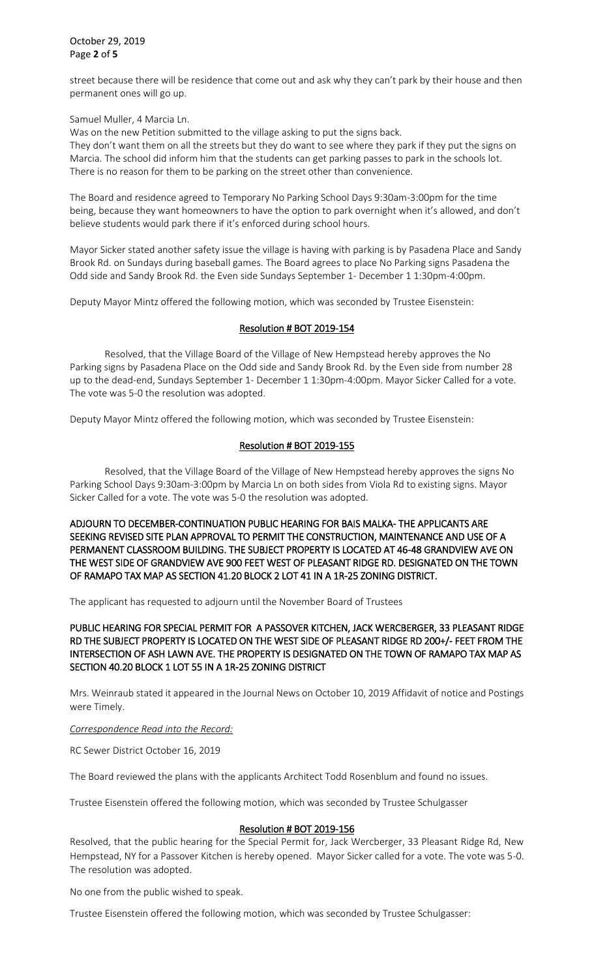street because there will be residence that come out and ask why they can't park by their house and then permanent ones will go up.

Samuel Muller, 4 Marcia Ln.

Was on the new Petition submitted to the village asking to put the signs back.

They don't want them on all the streets but they do want to see where they park if they put the signs on Marcia. The school did inform him that the students can get parking passes to park in the schools lot. There is no reason for them to be parking on the street other than convenience.

The Board and residence agreed to Temporary No Parking School Days 9:30am-3:00pm for the time being, because they want homeowners to have the option to park overnight when it's allowed, and don't believe students would park there if it's enforced during school hours.

Mayor Sicker stated another safety issue the village is having with parking is by Pasadena Place and Sandy Brook Rd. on Sundays during baseball games. The Board agrees to place No Parking signs Pasadena the Odd side and Sandy Brook Rd. the Even side Sundays September 1- December 1 1:30pm-4:00pm.

Deputy Mayor Mintz offered the following motion, which was seconded by Trustee Eisenstein:

### Resolution # BOT 2019-154

Resolved, that the Village Board of the Village of New Hempstead hereby approves the No Parking signs by Pasadena Place on the Odd side and Sandy Brook Rd. by the Even side from number 28 up to the dead-end, Sundays September 1- December 1 1:30pm-4:00pm. Mayor Sicker Called for a vote. The vote was 5-0 the resolution was adopted.

Deputy Mayor Mintz offered the following motion, which was seconded by Trustee Eisenstein:

## Resolution # BOT 2019-155

Resolved, that the Village Board of the Village of New Hempstead hereby approves the signs No Parking School Days 9:30am-3:00pm by Marcia Ln on both sides from Viola Rd to existing signs. Mayor Sicker Called for a vote. The vote was 5-0 the resolution was adopted.

ADJOURN TO DECEMBER-CONTINUATION PUBLIC HEARING FOR BAIS MALKA- THE APPLICANTS ARE SEEKING REVISED SITE PLAN APPROVAL TO PERMIT THE CONSTRUCTION, MAINTENANCE AND USE OF A PERMANENT CLASSROOM BUILDING. THE SUBJECT PROPERTY IS LOCATED AT 46-48 GRANDVIEW AVE ON THE WEST SIDE OF GRANDVIEW AVE 900 FEET WEST OF PLEASANT RIDGE RD. DESIGNATED ON THE TOWN OF RAMAPO TAX MAP AS SECTION 41.20 BLOCK 2 LOT 41 IN A 1R-25 ZONING DISTRICT.

The applicant has requested to adjourn until the November Board of Trustees

PUBLIC HEARING FOR SPECIAL PERMIT FOR A PASSOVER KITCHEN, JACK WERCBERGER, 33 PLEASANT RIDGE RD THE SUBJECT PROPERTY IS LOCATED ON THE WEST SIDE OF PLEASANT RIDGE RD 200+/- FEET FROM THE INTERSECTION OF ASH LAWN AVE. THE PROPERTY IS DESIGNATED ON THE TOWN OF RAMAPO TAX MAP AS SECTION 40.20 BLOCK 1 LOT 55 IN A 1R-25 ZONING DISTRICT

Mrs. Weinraub stated it appeared in the Journal News on October 10, 2019 Affidavit of notice and Postings were Timely.

### *Correspondence Read into the Record:*

RC Sewer District October 16, 2019

The Board reviewed the plans with the applicants Architect Todd Rosenblum and found no issues.

Trustee Eisenstein offered the following motion, which was seconded by Trustee Schulgasser

# Resolution # BOT 2019-156

Resolved, that the public hearing for the Special Permit for, Jack Wercberger, 33 Pleasant Ridge Rd, New Hempstead, NY for a Passover Kitchen is hereby opened. Mayor Sicker called for a vote. The vote was 5-0. The resolution was adopted.

No one from the public wished to speak.

Trustee Eisenstein offered the following motion, which was seconded by Trustee Schulgasser: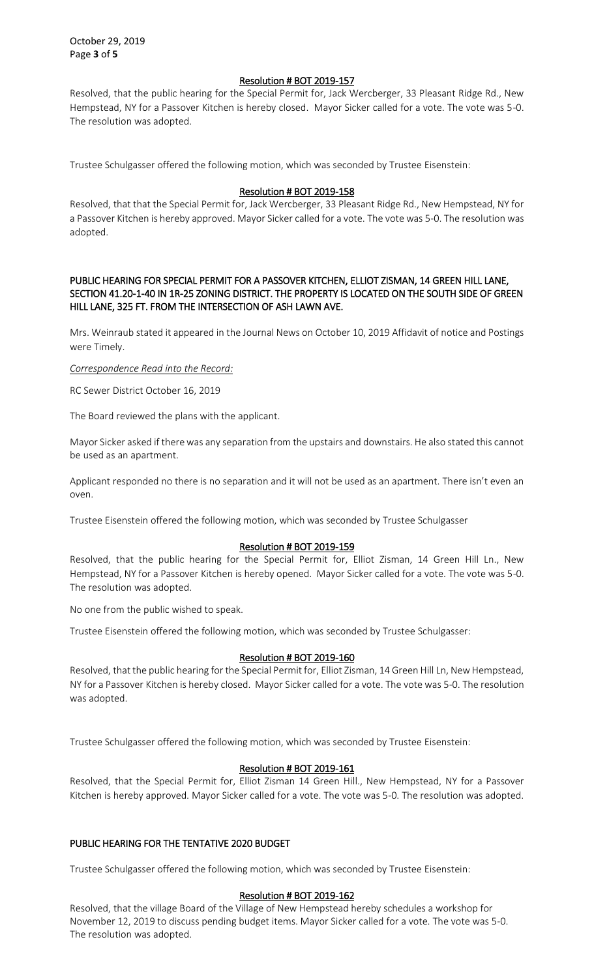October 29, 2019 Page **3** of **5**

### Resolution # BOT 2019-157

Resolved, that the public hearing for the Special Permit for, Jack Wercberger, 33 Pleasant Ridge Rd., New Hempstead, NY for a Passover Kitchen is hereby closed. Mayor Sicker called for a vote. The vote was 5-0. The resolution was adopted.

Trustee Schulgasser offered the following motion, which was seconded by Trustee Eisenstein:

#### Resolution # BOT 2019-158

Resolved, that that the Special Permit for, Jack Wercberger, 33 Pleasant Ridge Rd., New Hempstead, NY for a Passover Kitchen is hereby approved. Mayor Sicker called for a vote. The vote was 5-0. The resolution was adopted.

# PUBLIC HEARING FOR SPECIAL PERMIT FOR A PASSOVER KITCHEN, ELLIOT ZISMAN, 14 GREEN HILL LANE, SECTION 41.20-1-40 IN 1R-25 ZONING DISTRICT. THE PROPERTY IS LOCATED ON THE SOUTH SIDE OF GREEN HILL LANE, 325 FT. FROM THE INTERSECTION OF ASH LAWN AVE.

Mrs. Weinraub stated it appeared in the Journal News on October 10, 2019 Affidavit of notice and Postings were Timely.

*Correspondence Read into the Record:*

RC Sewer District October 16, 2019

The Board reviewed the plans with the applicant.

Mayor Sicker asked if there was any separation from the upstairs and downstairs. He also stated this cannot be used as an apartment.

Applicant responded no there is no separation and it will not be used as an apartment. There isn't even an oven.

Trustee Eisenstein offered the following motion, which was seconded by Trustee Schulgasser

#### Resolution # BOT 2019-159

Resolved, that the public hearing for the Special Permit for, Elliot Zisman, 14 Green Hill Ln., New Hempstead, NY for a Passover Kitchen is hereby opened. Mayor Sicker called for a vote. The vote was 5-0. The resolution was adopted.

No one from the public wished to speak.

Trustee Eisenstein offered the following motion, which was seconded by Trustee Schulgasser:

### Resolution # BOT 2019-160

Resolved, that the public hearing for the Special Permit for, Elliot Zisman, 14 Green Hill Ln, New Hempstead, NY for a Passover Kitchen is hereby closed. Mayor Sicker called for a vote. The vote was 5-0. The resolution was adopted.

Trustee Schulgasser offered the following motion, which was seconded by Trustee Eisenstein:

### Resolution # BOT 2019-161

Resolved, that the Special Permit for, Elliot Zisman 14 Green Hill., New Hempstead, NY for a Passover Kitchen is hereby approved. Mayor Sicker called for a vote. The vote was 5-0. The resolution was adopted.

### PUBLIC HEARING FOR THE TENTATIVE 2020 BUDGET

Trustee Schulgasser offered the following motion, which was seconded by Trustee Eisenstein:

#### Resolution # BOT 2019-162

Resolved, that the village Board of the Village of New Hempstead hereby schedules a workshop for November 12, 2019 to discuss pending budget items. Mayor Sicker called for a vote. The vote was 5-0. The resolution was adopted.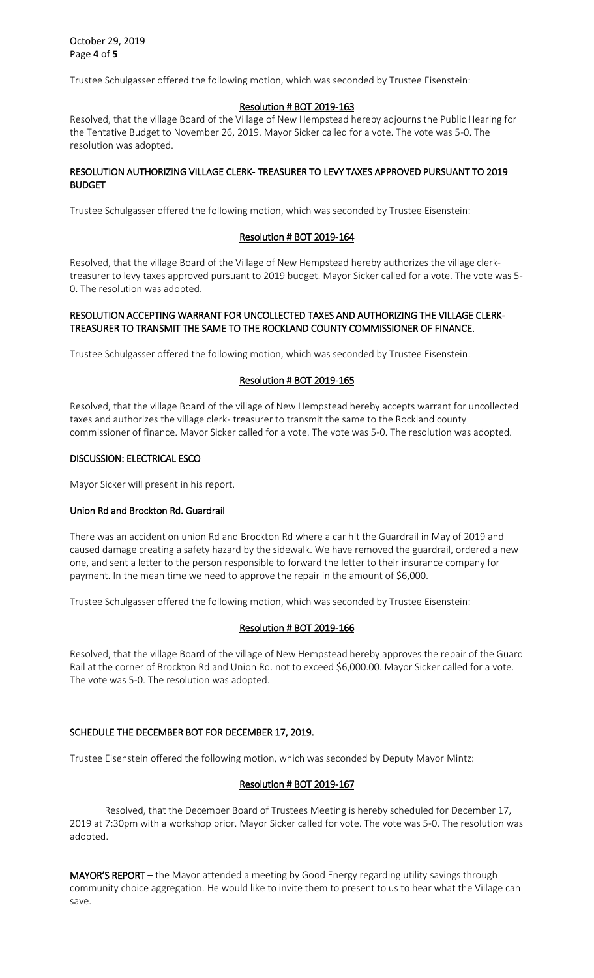Trustee Schulgasser offered the following motion, which was seconded by Trustee Eisenstein:

### Resolution # BOT 2019-163

Resolved, that the village Board of the Village of New Hempstead hereby adjourns the Public Hearing for the Tentative Budget to November 26, 2019. Mayor Sicker called for a vote. The vote was 5-0. The resolution was adopted.

### RESOLUTION AUTHORIZING VILLAGE CLERK- TREASURER TO LEVY TAXES APPROVED PURSUANT TO 2019 BUDGET

Trustee Schulgasser offered the following motion, which was seconded by Trustee Eisenstein:

### Resolution # BOT 2019-164

Resolved, that the village Board of the Village of New Hempstead hereby authorizes the village clerktreasurer to levy taxes approved pursuant to 2019 budget. Mayor Sicker called for a vote. The vote was 5- 0. The resolution was adopted.

## RESOLUTION ACCEPTING WARRANT FOR UNCOLLECTED TAXES AND AUTHORIZING THE VILLAGE CLERK-TREASURER TO TRANSMIT THE SAME TO THE ROCKLAND COUNTY COMMISSIONER OF FINANCE.

Trustee Schulgasser offered the following motion, which was seconded by Trustee Eisenstein:

### Resolution # BOT 2019-165

Resolved, that the village Board of the village of New Hempstead hereby accepts warrant for uncollected taxes and authorizes the village clerk- treasurer to transmit the same to the Rockland county commissioner of finance. Mayor Sicker called for a vote. The vote was 5-0. The resolution was adopted.

### DISCUSSION: ELECTRICAL ESCO

Mayor Sicker will present in his report.

### Union Rd and Brockton Rd. Guardrail

There was an accident on union Rd and Brockton Rd where a car hit the Guardrail in May of 2019 and caused damage creating a safety hazard by the sidewalk. We have removed the guardrail, ordered a new one, and sent a letter to the person responsible to forward the letter to their insurance company for payment. In the mean time we need to approve the repair in the amount of \$6,000.

Trustee Schulgasser offered the following motion, which was seconded by Trustee Eisenstein:

### Resolution # BOT 2019-166

Resolved, that the village Board of the village of New Hempstead hereby approves the repair of the Guard Rail at the corner of Brockton Rd and Union Rd. not to exceed \$6,000.00. Mayor Sicker called for a vote. The vote was 5-0. The resolution was adopted.

### SCHEDULE THE DECEMBER BOT FOR DECEMBER 17, 2019.

Trustee Eisenstein offered the following motion, which was seconded by Deputy Mayor Mintz:

### Resolution # BOT 2019-167

Resolved, that the December Board of Trustees Meeting is hereby scheduled for December 17, 2019 at 7:30pm with a workshop prior. Mayor Sicker called for vote. The vote was 5-0. The resolution was adopted.

MAYOR'S REPORT – the Mayor attended a meeting by Good Energy regarding utility savings through community choice aggregation. He would like to invite them to present to us to hear what the Village can save.